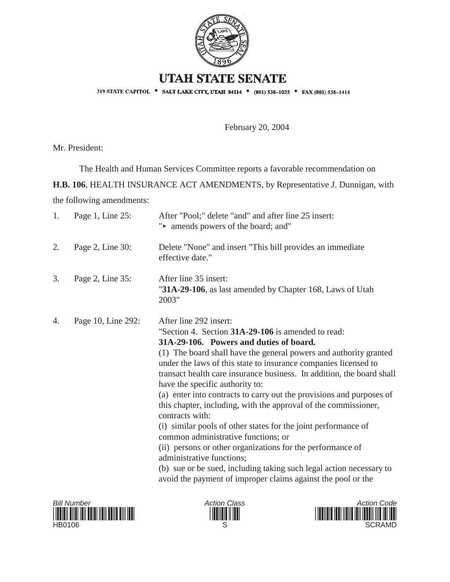

## **UTAH STATE SENATE**

319 STATE CAPITOL . SALT LAKE CITY, UTAH 84114 . (801) 538-1035 . FAX (801) 538-1414

February 20, 2004

Mr. President:

The Health and Human Services Committee reports a favorable recommendation on

**H.B. 106**, HEALTH INSURANCE ACT AMENDMENTS, by Representative J. Dunnigan, with

the following amendments:

| 1. | Page 1, Line 25:   | After "Pool;" delete "and" and after line 25 insert:<br>"• amends powers of the board; and"                                                                                                                                                                                                                                                                                                                                                                                                                                                                                                                                                                                                                                                                                                                                                                                          |
|----|--------------------|--------------------------------------------------------------------------------------------------------------------------------------------------------------------------------------------------------------------------------------------------------------------------------------------------------------------------------------------------------------------------------------------------------------------------------------------------------------------------------------------------------------------------------------------------------------------------------------------------------------------------------------------------------------------------------------------------------------------------------------------------------------------------------------------------------------------------------------------------------------------------------------|
| 2. | Page 2, Line 30:   | Delete "None" and insert "This bill provides an immediate<br>effective date."                                                                                                                                                                                                                                                                                                                                                                                                                                                                                                                                                                                                                                                                                                                                                                                                        |
| 3. | Page 2, Line 35:   | After line 35 insert:<br>"31A-29-106, as last amended by Chapter 168, Laws of Utah<br>2003"                                                                                                                                                                                                                                                                                                                                                                                                                                                                                                                                                                                                                                                                                                                                                                                          |
| 4. | Page 10, Line 292: | After line 292 insert:<br>"Section 4. Section 31A-29-106 is amended to read:<br>31A-29-106. Powers and duties of board.<br>(1) The board shall have the general powers and authority granted<br>under the laws of this state to insurance companies licensed to<br>transact health care insurance business. In addition, the board shall<br>have the specific authority to:<br>(a) enter into contracts to carry out the provisions and purposes of<br>this chapter, including, with the approval of the commissioner,<br>contracts with:<br>(i) similar pools of other states for the joint performance of<br>common administrative functions; or<br>(ii) persons or other organizations for the performance of<br>administrative functions;<br>(b) sue or be sued, including taking such legal action necessary to<br>avoid the payment of improper claims against the pool or the |





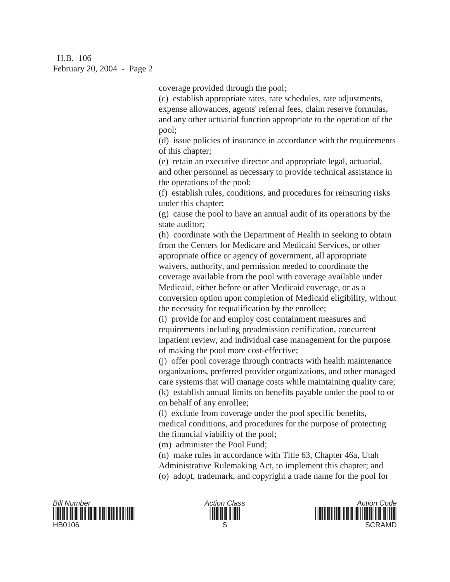H.B. 106 February 20, 2004 - Page 2

coverage provided through the pool;

(c) establish appropriate rates, rate schedules, rate adjustments, expense allowances, agents' referral fees, claim reserve formulas, and any other actuarial function appropriate to the operation of the pool;

(d) issue policies of insurance in accordance with the requirements of this chapter;

(e) retain an executive director and appropriate legal, actuarial, and other personnel as necessary to provide technical assistance in the operations of the pool;

(f) establish rules, conditions, and procedures for reinsuring risks under this chapter;

(g) cause the pool to have an annual audit of its operations by the state auditor;

(h) coordinate with the Department of Health in seeking to obtain from the Centers for Medicare and Medicaid Services, or other appropriate office or agency of government, all appropriate waivers, authority, and permission needed to coordinate the coverage available from the pool with coverage available under Medicaid, either before or after Medicaid coverage, or as a conversion option upon completion of Medicaid eligibility, without the necessity for requalification by the enrollee;

(i) provide for and employ cost containment measures and requirements including preadmission certification, concurrent inpatient review, and individual case management for the purpose of making the pool more cost-effective;

(j) offer pool coverage through contracts with health maintenance organizations, preferred provider organizations, and other managed care systems that will manage costs while maintaining quality care; (k) establish annual limits on benefits payable under the pool to or on behalf of any enrollee;

(l) exclude from coverage under the pool specific benefits, medical conditions, and procedures for the purpose of protecting the financial viability of the pool;

(m) administer the Pool Fund;

(n) make rules in accordance with Title 63, Chapter 46a, Utah Administrative Rulemaking Act, to implement this chapter; and (o) adopt, trademark, and copyright a trade name for the pool for